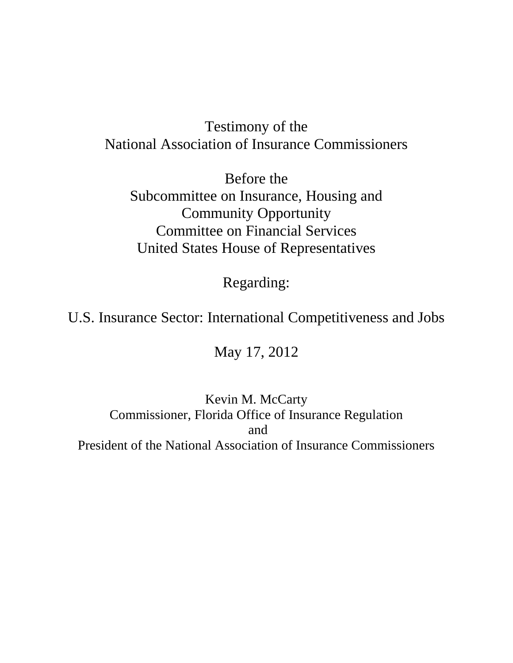# Testimony of the National Association of Insurance Commissioners

Before the Subcommittee on Insurance, Housing and Community Opportunity Committee on Financial Services United States House of Representatives

Regarding:

# U.S. Insurance Sector: International Competitiveness and Jobs

# May 17, 2012

# Kevin M. McCarty Commissioner, Florida Office of Insurance Regulation and President of the National Association of Insurance Commissioners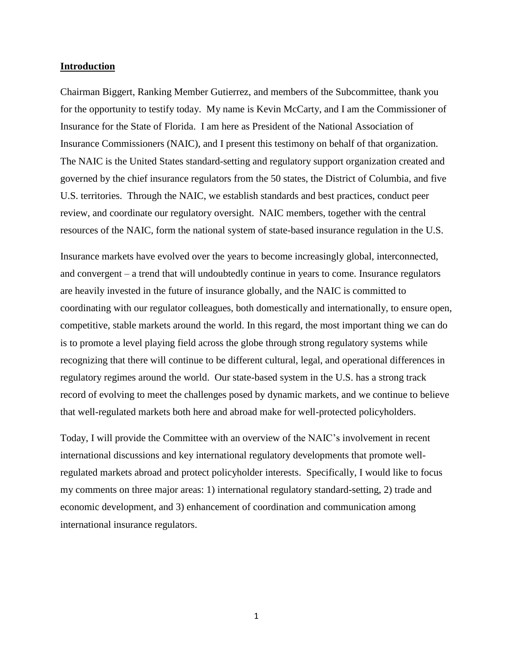#### **Introduction**

Chairman Biggert, Ranking Member Gutierrez, and members of the Subcommittee, thank you for the opportunity to testify today. My name is Kevin McCarty, and I am the Commissioner of Insurance for the State of Florida. I am here as President of the National Association of Insurance Commissioners (NAIC), and I present this testimony on behalf of that organization. The NAIC is the United States standard-setting and regulatory support organization created and governed by the chief insurance regulators from the 50 states, the District of Columbia, and five U.S. territories. Through the NAIC, we establish standards and best practices, conduct peer review, and coordinate our regulatory oversight. NAIC members, together with the central resources of the NAIC, form the national system of state-based insurance regulation in the U.S.

Insurance markets have evolved over the years to become increasingly global, interconnected, and convergent – a trend that will undoubtedly continue in years to come. Insurance regulators are heavily invested in the future of insurance globally, and the NAIC is committed to coordinating with our regulator colleagues, both domestically and internationally, to ensure open, competitive, stable markets around the world. In this regard, the most important thing we can do is to promote a level playing field across the globe through strong regulatory systems while recognizing that there will continue to be different cultural, legal, and operational differences in regulatory regimes around the world. Our state-based system in the U.S. has a strong track record of evolving to meet the challenges posed by dynamic markets, and we continue to believe that well-regulated markets both here and abroad make for well-protected policyholders.

Today, I will provide the Committee with an overview of the NAIC's involvement in recent international discussions and key international regulatory developments that promote wellregulated markets abroad and protect policyholder interests. Specifically, I would like to focus my comments on three major areas: 1) international regulatory standard-setting, 2) trade and economic development, and 3) enhancement of coordination and communication among international insurance regulators.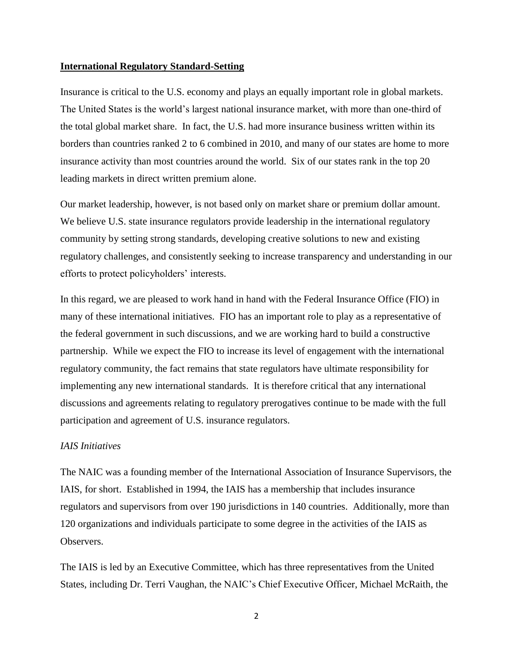### **International Regulatory Standard-Setting**

Insurance is critical to the U.S. economy and plays an equally important role in global markets. The United States is the world's largest national insurance market, with more than one-third of the total global market share. In fact, the U.S. had more insurance business written within its borders than countries ranked 2 to 6 combined in 2010, and many of our states are home to more insurance activity than most countries around the world. Six of our states rank in the top 20 leading markets in direct written premium alone.

Our market leadership, however, is not based only on market share or premium dollar amount. We believe U.S. state insurance regulators provide leadership in the international regulatory community by setting strong standards, developing creative solutions to new and existing regulatory challenges, and consistently seeking to increase transparency and understanding in our efforts to protect policyholders' interests.

In this regard, we are pleased to work hand in hand with the Federal Insurance Office (FIO) in many of these international initiatives. FIO has an important role to play as a representative of the federal government in such discussions, and we are working hard to build a constructive partnership. While we expect the FIO to increase its level of engagement with the international regulatory community, the fact remains that state regulators have ultimate responsibility for implementing any new international standards. It is therefore critical that any international discussions and agreements relating to regulatory prerogatives continue to be made with the full participation and agreement of U.S. insurance regulators.

# *IAIS Initiatives*

The NAIC was a founding member of the International Association of Insurance Supervisors, the IAIS, for short. Established in 1994, the IAIS has a membership that includes insurance regulators and supervisors from over 190 jurisdictions in 140 countries. Additionally, more than 120 organizations and individuals participate to some degree in the activities of the IAIS as Observers.

The IAIS is led by an Executive Committee, which has three representatives from the United States, including Dr. Terri Vaughan, the NAIC's Chief Executive Officer, Michael McRaith, the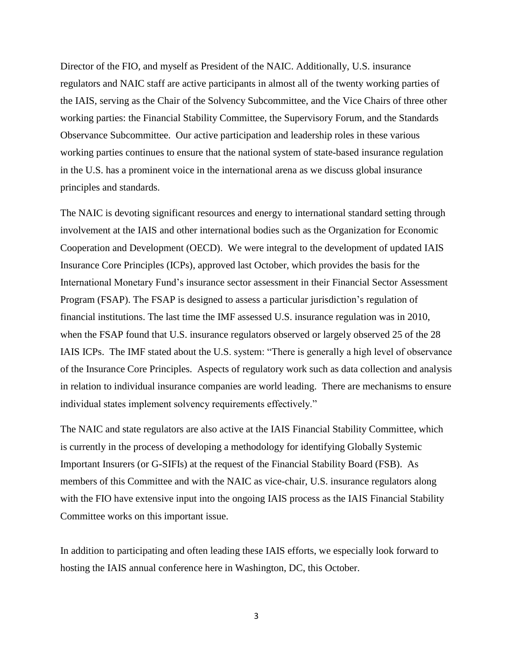Director of the FIO, and myself as President of the NAIC. Additionally, U.S. insurance regulators and NAIC staff are active participants in almost all of the twenty working parties of the IAIS, serving as the Chair of the Solvency Subcommittee, and the Vice Chairs of three other working parties: the Financial Stability Committee, the Supervisory Forum, and the Standards Observance Subcommittee. Our active participation and leadership roles in these various working parties continues to ensure that the national system of state-based insurance regulation in the U.S. has a prominent voice in the international arena as we discuss global insurance principles and standards.

The NAIC is devoting significant resources and energy to international standard setting through involvement at the IAIS and other international bodies such as the Organization for Economic Cooperation and Development (OECD). We were integral to the development of updated IAIS Insurance Core Principles (ICPs), approved last October, which provides the basis for the International Monetary Fund's insurance sector assessment in their Financial Sector Assessment Program (FSAP). The FSAP is designed to assess a particular jurisdiction's regulation of financial institutions. The last time the IMF assessed U.S. insurance regulation was in 2010, when the FSAP found that U.S. insurance regulators observed or largely observed 25 of the 28 IAIS ICPs. The IMF stated about the U.S. system: "There is generally a high level of observance of the Insurance Core Principles. Aspects of regulatory work such as data collection and analysis in relation to individual insurance companies are world leading. There are mechanisms to ensure individual states implement solvency requirements effectively."

The NAIC and state regulators are also active at the IAIS Financial Stability Committee, which is currently in the process of developing a methodology for identifying Globally Systemic Important Insurers (or G-SIFIs) at the request of the Financial Stability Board (FSB). As members of this Committee and with the NAIC as vice-chair, U.S. insurance regulators along with the FIO have extensive input into the ongoing IAIS process as the IAIS Financial Stability Committee works on this important issue.

In addition to participating and often leading these IAIS efforts, we especially look forward to hosting the IAIS annual conference here in Washington, DC, this October.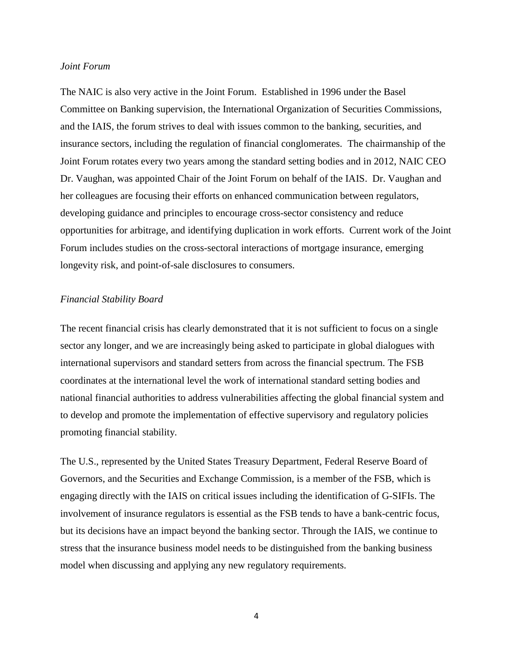### *Joint Forum*

The NAIC is also very active in the Joint Forum. Established in 1996 under the Basel Committee on Banking supervision, the International Organization of Securities Commissions, and the IAIS, the forum strives to deal with issues common to the banking, securities, and insurance sectors, including the regulation of financial conglomerates. The chairmanship of the Joint Forum rotates every two years among the standard setting bodies and in 2012, NAIC CEO Dr. Vaughan, was appointed Chair of the Joint Forum on behalf of the IAIS. Dr. Vaughan and her colleagues are focusing their efforts on enhanced communication between regulators, developing guidance and principles to encourage cross-sector consistency and reduce opportunities for arbitrage, and identifying duplication in work efforts. Current work of the Joint Forum includes studies on the cross-sectoral interactions of mortgage insurance, emerging longevity risk, and point-of-sale disclosures to consumers.

# *Financial Stability Board*

The recent financial crisis has clearly demonstrated that it is not sufficient to focus on a single sector any longer, and we are increasingly being asked to participate in global dialogues with international supervisors and standard setters from across the financial spectrum. The FSB coordinates at the international level the work of international standard setting bodies and national financial authorities to address vulnerabilities affecting the global financial system and to develop and promote the implementation of effective supervisory and regulatory policies promoting financial stability.

The U.S., represented by the United States Treasury Department, Federal Reserve Board of Governors, and the Securities and Exchange Commission, is a member of the FSB, which is engaging directly with the IAIS on critical issues including the identification of G-SIFIs. The involvement of insurance regulators is essential as the FSB tends to have a bank-centric focus, but its decisions have an impact beyond the banking sector. Through the IAIS, we continue to stress that the insurance business model needs to be distinguished from the banking business model when discussing and applying any new regulatory requirements.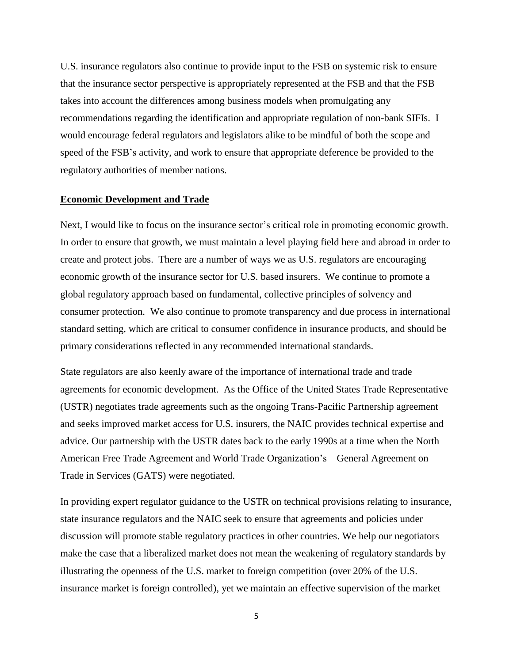U.S. insurance regulators also continue to provide input to the FSB on systemic risk to ensure that the insurance sector perspective is appropriately represented at the FSB and that the FSB takes into account the differences among business models when promulgating any recommendations regarding the identification and appropriate regulation of non-bank SIFIs. I would encourage federal regulators and legislators alike to be mindful of both the scope and speed of the FSB's activity, and work to ensure that appropriate deference be provided to the regulatory authorities of member nations.

#### **Economic Development and Trade**

Next, I would like to focus on the insurance sector's critical role in promoting economic growth. In order to ensure that growth, we must maintain a level playing field here and abroad in order to create and protect jobs. There are a number of ways we as U.S. regulators are encouraging economic growth of the insurance sector for U.S. based insurers. We continue to promote a global regulatory approach based on fundamental, collective principles of solvency and consumer protection. We also continue to promote transparency and due process in international standard setting, which are critical to consumer confidence in insurance products, and should be primary considerations reflected in any recommended international standards.

State regulators are also keenly aware of the importance of international trade and trade agreements for economic development. As the Office of the United States Trade Representative (USTR) negotiates trade agreements such as the ongoing Trans-Pacific Partnership agreement and seeks improved market access for U.S. insurers, the NAIC provides technical expertise and advice. Our partnership with the USTR dates back to the early 1990s at a time when the North American Free Trade Agreement and World Trade Organization's – General Agreement on Trade in Services (GATS) were negotiated.

In providing expert regulator guidance to the USTR on technical provisions relating to insurance, state insurance regulators and the NAIC seek to ensure that agreements and policies under discussion will promote stable regulatory practices in other countries. We help our negotiators make the case that a liberalized market does not mean the weakening of regulatory standards by illustrating the openness of the U.S. market to foreign competition (over 20% of the U.S. insurance market is foreign controlled), yet we maintain an effective supervision of the market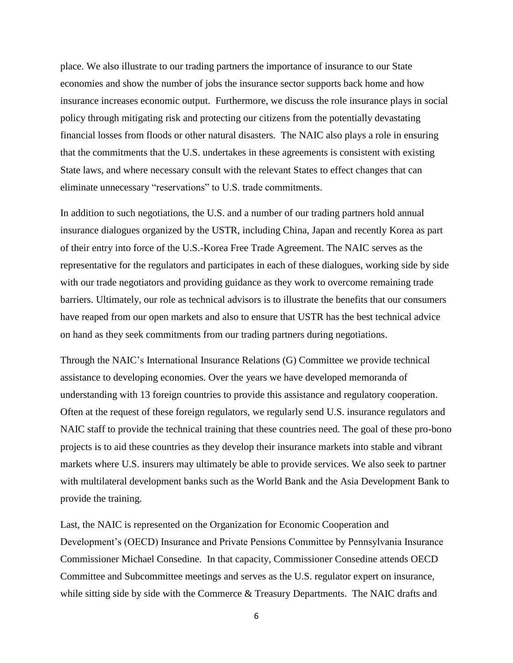place. We also illustrate to our trading partners the importance of insurance to our State economies and show the number of jobs the insurance sector supports back home and how insurance increases economic output. Furthermore, we discuss the role insurance plays in social policy through mitigating risk and protecting our citizens from the potentially devastating financial losses from floods or other natural disasters. The NAIC also plays a role in ensuring that the commitments that the U.S. undertakes in these agreements is consistent with existing State laws, and where necessary consult with the relevant States to effect changes that can eliminate unnecessary "reservations" to U.S. trade commitments.

In addition to such negotiations, the U.S. and a number of our trading partners hold annual insurance dialogues organized by the USTR, including China, Japan and recently Korea as part of their entry into force of the U.S.-Korea Free Trade Agreement. The NAIC serves as the representative for the regulators and participates in each of these dialogues, working side by side with our trade negotiators and providing guidance as they work to overcome remaining trade barriers. Ultimately, our role as technical advisors is to illustrate the benefits that our consumers have reaped from our open markets and also to ensure that USTR has the best technical advice on hand as they seek commitments from our trading partners during negotiations.

Through the NAIC's International Insurance Relations (G) Committee we provide technical assistance to developing economies. Over the years we have developed memoranda of understanding with 13 foreign countries to provide this assistance and regulatory cooperation. Often at the request of these foreign regulators, we regularly send U.S. insurance regulators and NAIC staff to provide the technical training that these countries need. The goal of these pro-bono projects is to aid these countries as they develop their insurance markets into stable and vibrant markets where U.S. insurers may ultimately be able to provide services. We also seek to partner with multilateral development banks such as the World Bank and the Asia Development Bank to provide the training.

Last, the NAIC is represented on the Organization for Economic Cooperation and Development's (OECD) Insurance and Private Pensions Committee by Pennsylvania Insurance Commissioner Michael Consedine. In that capacity, Commissioner Consedine attends OECD Committee and Subcommittee meetings and serves as the U.S. regulator expert on insurance, while sitting side by side with the Commerce & Treasury Departments. The NAIC drafts and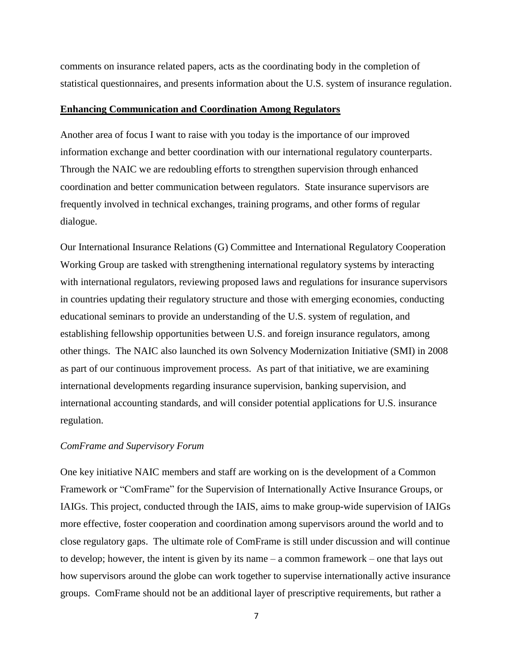comments on insurance related papers, acts as the coordinating body in the completion of statistical questionnaires, and presents information about the U.S. system of insurance regulation.

### **Enhancing Communication and Coordination Among Regulators**

Another area of focus I want to raise with you today is the importance of our improved information exchange and better coordination with our international regulatory counterparts. Through the NAIC we are redoubling efforts to strengthen supervision through enhanced coordination and better communication between regulators. State insurance supervisors are frequently involved in technical exchanges, training programs, and other forms of regular dialogue.

Our International Insurance Relations (G) Committee and International Regulatory Cooperation Working Group are tasked with strengthening international regulatory systems by interacting with international regulators, reviewing proposed laws and regulations for insurance supervisors in countries updating their regulatory structure and those with emerging economies, conducting educational seminars to provide an understanding of the U.S. system of regulation, and establishing fellowship opportunities between U.S. and foreign insurance regulators, among other things. The NAIC also launched its own Solvency Modernization Initiative (SMI) in 2008 as part of our continuous improvement process. As part of that initiative, we are examining international developments regarding insurance supervision, banking supervision, and international accounting standards, and will consider potential applications for U.S. insurance regulation.

## *ComFrame and Supervisory Forum*

One key initiative NAIC members and staff are working on is the development of a Common Framework or "ComFrame" for the Supervision of Internationally Active Insurance Groups, or IAIGs. This project, conducted through the IAIS, aims to make group-wide supervision of IAIGs more effective, foster cooperation and coordination among supervisors around the world and to close regulatory gaps. The ultimate role of ComFrame is still under discussion and will continue to develop; however, the intent is given by its name – a common framework – one that lays out how supervisors around the globe can work together to supervise internationally active insurance groups. ComFrame should not be an additional layer of prescriptive requirements, but rather a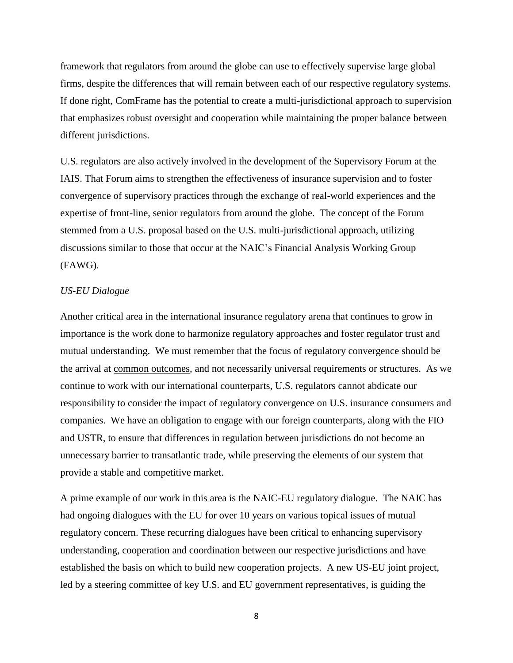framework that regulators from around the globe can use to effectively supervise large global firms, despite the differences that will remain between each of our respective regulatory systems. If done right, ComFrame has the potential to create a multi-jurisdictional approach to supervision that emphasizes robust oversight and cooperation while maintaining the proper balance between different jurisdictions.

U.S. regulators are also actively involved in the development of the Supervisory Forum at the IAIS. That Forum aims to strengthen the effectiveness of insurance supervision and to foster convergence of supervisory practices through the exchange of real-world experiences and the expertise of front-line, senior regulators from around the globe. The concept of the Forum stemmed from a U.S. proposal based on the U.S. multi-jurisdictional approach, utilizing discussions similar to those that occur at the NAIC's Financial Analysis Working Group (FAWG).

# *US-EU Dialogue*

Another critical area in the international insurance regulatory arena that continues to grow in importance is the work done to harmonize regulatory approaches and foster regulator trust and mutual understanding. We must remember that the focus of regulatory convergence should be the arrival at common outcomes, and not necessarily universal requirements or structures. As we continue to work with our international counterparts, U.S. regulators cannot abdicate our responsibility to consider the impact of regulatory convergence on U.S. insurance consumers and companies. We have an obligation to engage with our foreign counterparts, along with the FIO and USTR, to ensure that differences in regulation between jurisdictions do not become an unnecessary barrier to transatlantic trade, while preserving the elements of our system that provide a stable and competitive market.

A prime example of our work in this area is the NAIC-EU regulatory dialogue. The NAIC has had ongoing dialogues with the EU for over 10 years on various topical issues of mutual regulatory concern. These recurring dialogues have been critical to enhancing supervisory understanding, cooperation and coordination between our respective jurisdictions and have established the basis on which to build new cooperation projects. A new US-EU joint project, led by a steering committee of key U.S. and EU government representatives, is guiding the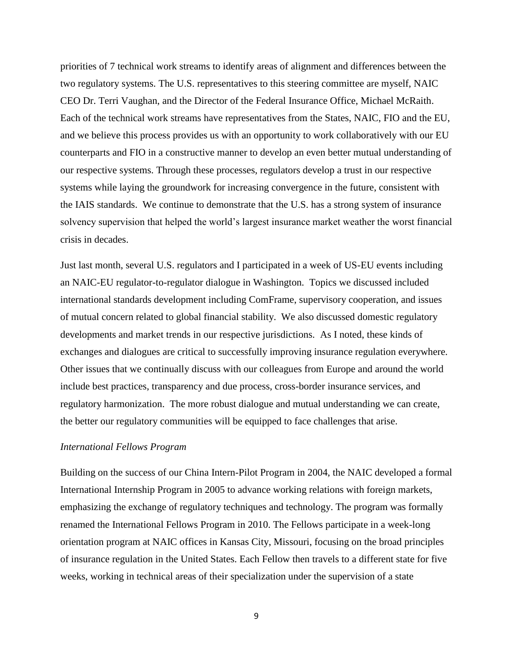priorities of 7 technical work streams to identify areas of alignment and differences between the two regulatory systems. The U.S. representatives to this steering committee are myself, NAIC CEO Dr. Terri Vaughan, and the Director of the Federal Insurance Office, Michael McRaith. Each of the technical work streams have representatives from the States, NAIC, FIO and the EU, and we believe this process provides us with an opportunity to work collaboratively with our EU counterparts and FIO in a constructive manner to develop an even better mutual understanding of our respective systems. Through these processes, regulators develop a trust in our respective systems while laying the groundwork for increasing convergence in the future, consistent with the IAIS standards. We continue to demonstrate that the U.S. has a strong system of insurance solvency supervision that helped the world's largest insurance market weather the worst financial crisis in decades.

Just last month, several U.S. regulators and I participated in a week of US-EU events including an NAIC-EU regulator-to-regulator dialogue in Washington. Topics we discussed included international standards development including ComFrame, supervisory cooperation, and issues of mutual concern related to global financial stability. We also discussed domestic regulatory developments and market trends in our respective jurisdictions. As I noted, these kinds of exchanges and dialogues are critical to successfully improving insurance regulation everywhere. Other issues that we continually discuss with our colleagues from Europe and around the world include best practices, transparency and due process, cross-border insurance services, and regulatory harmonization. The more robust dialogue and mutual understanding we can create, the better our regulatory communities will be equipped to face challenges that arise.

## *International Fellows Program*

Building on the success of our China Intern-Pilot Program in 2004, the NAIC developed a formal International Internship Program in 2005 to advance working relations with foreign markets, emphasizing the exchange of regulatory techniques and technology. The program was formally renamed the International Fellows Program in 2010. The Fellows participate in a week-long orientation program at NAIC offices in Kansas City, Missouri, focusing on the broad principles of insurance regulation in the United States. Each Fellow then travels to a different state for five weeks, working in technical areas of their specialization under the supervision of a state